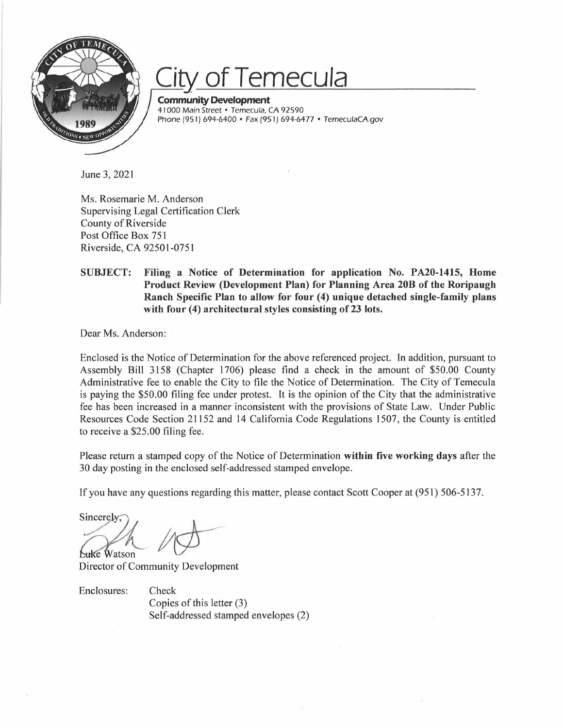

# **Temecula**

**Community Development**  41000 Main Street • Temecula, CA 92590 Phone (951) 694-6400 • Fax (951) 694-6477 • TemeculaCA.gov

June 3, 2021

Ms. Rosemarie M. Anderson Supervising Legal Certification Clerk County of Riverside Post Office Box 751 Riverside, CA 92501-0751

## **SUBJECT: Filing a Notice of Determination for application No. PA20-1415, Home Product Review (Development Plan) for Planning Area 20B of the Roripaugh Ranch Specific Plan to allow for four (4) unique detached single-family plans**  with four (4) architectural styles consisting of 23 lots.

Dear Ms. Anderson:

Enclosed is the Notice of Determination for the above referenced project. In addition, pursuant to Assembly Bill 3158 (Chapter 1706) please find a check in the amount of \$50.00 County Administrative fee to enable the City to file the Notice of Determination. The City of Temecula is paying the \$50.00 filing fee under protest. It is the opinion of the City that the administrative fee has been increased in a manner inconsistent with the provisions of State Law. Under Public Resources Code Section 21152 and 14 California Code Regulations 1507, the County is entitled to receive a \$25.00 filing fee.

Please return a stamped copy of the Notice of Determination **within five working days** after the 30 day posting in the enclosed self-addressed stamped envelope.

If you have any questions regarding this matter, please contact Scott Cooper at (951) 506-5137.

sincerely;<br>Sincerely;<br>*Luke* Watson

Director of Community Development

Enclosures: Check

Copies of this letter (3) Self-addressed stamped envelopes (2)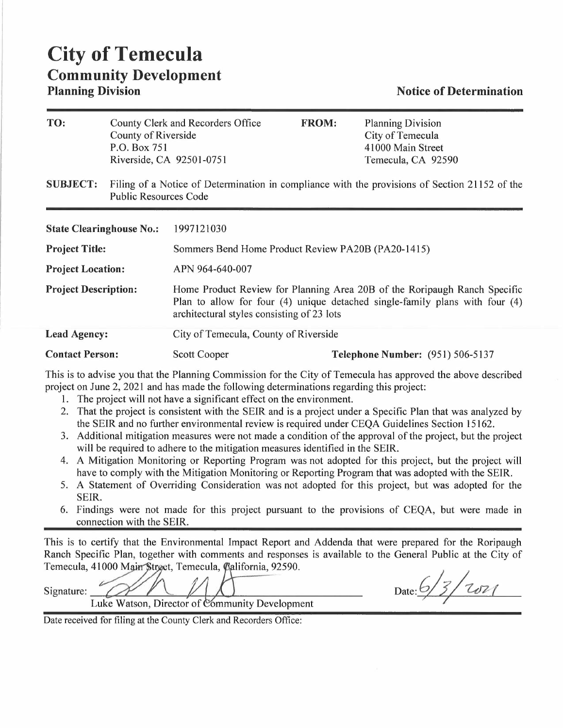## **City of Temecula Community Development Planning Division Notice of Determination**

| TO:                             | County of Riverside<br>P.O. Box 751<br>Riverside, CA 92501-0751                                                               | County Clerk and Recorders Office                                                                                                                                                                       | <b>FROM:</b> | <b>Planning Division</b><br>City of Temecula<br>41000 Main Street<br>Temecula, CA 92590 |
|---------------------------------|-------------------------------------------------------------------------------------------------------------------------------|---------------------------------------------------------------------------------------------------------------------------------------------------------------------------------------------------------|--------------|-----------------------------------------------------------------------------------------|
| <b>SUBJECT:</b>                 | Filing of a Notice of Determination in compliance with the provisions of Section 21152 of the<br><b>Public Resources Code</b> |                                                                                                                                                                                                         |              |                                                                                         |
| <b>State Clearinghouse No.:</b> |                                                                                                                               | 1997121030                                                                                                                                                                                              |              |                                                                                         |
| <b>Project Title:</b>           |                                                                                                                               | Sommers Bend Home Product Review PA20B (PA20-1415)                                                                                                                                                      |              |                                                                                         |
| <b>Project Location:</b>        |                                                                                                                               | APN 964-640-007                                                                                                                                                                                         |              |                                                                                         |
| <b>Project Description:</b>     |                                                                                                                               | Home Product Review for Planning Area 20B of the Roripaugh Ranch Specific<br>Plan to allow for four (4) unique detached single-family plans with four (4)<br>architectural styles consisting of 23 lots |              |                                                                                         |
| <b>Lead Agency:</b>             |                                                                                                                               | City of Temecula, County of Riverside                                                                                                                                                                   |              |                                                                                         |
| <b>Contact Person:</b>          |                                                                                                                               | Scott Cooper                                                                                                                                                                                            |              | <b>Telephone Number:</b> (951) 506-5137                                                 |

This is to advise you that the Planning Commission for the City of Temecula has approved the above described project on June 2, 2021 and has made the following determinations regarding this project:

- 1. The project will not have a significant effect on the environment.
- 2. That the project is consistent with the SEIR and is a project under a Specific Plan that was analyzed by the SEIR and no further environmental review is required under CEQA Guidelines Section 15162.
- 3. Additional mitigation measures were not made a condition of the approval of the project, but the project will be required to adhere to the mitigation measures identified in the SEIR.
- 4. A Mitigation Monitoring or Reporting Program was not adopted for this project, but the project will have to comply with the Mitigation Monitoring or Reporting Program that was adopted with the SEIR.
- 5. A Statement of Overriding Consideration was not adopted for this project, but was adopted for the SEIR.
- 6. Findings were not made for this project pursuant to the provisions of CEQA, but were made in connection with the SEIR.

This is to certify that the Environmental Impact Report and Addenda that were prepared for the Roripaugh Ranch Specific Plan, together with comments and responses is available to the General Public at the City of Temecula, 41000 Main Strget, Temecula, California, 92590. ared for the Roripaugl<br> **al Public at the City of**<br>
<u>6</u> 5 7 7 07 1

Signature:<br>Luke Watson, Director of Community Development

**Date:** 

Date received for filing at the County Clerk and Recorders Office: